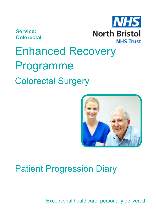

**Service: Colorectal**

# Enhanced Recovery Programme Colorectal Surgery



## Patient Progression Diary

Exceptional healthcare, personally delivered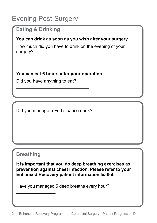## Evening Post-Surgery

### **Eating & Drinking**

### **You can drink as soon as you wish after your surgery**

How much did you have to drink on the evening of your surgery?

\_\_\_\_\_\_\_\_\_\_\_\_\_\_\_\_\_\_\_\_\_\_\_\_\_\_\_\_\_\_\_\_\_\_\_\_\_\_\_\_\_\_\_\_\_\_\_\_\_

### **You can eat 6 hours after your operation**

Did you have anything to eat?

 $\overline{\phantom{a}}$  , we can also the contract of  $\overline{\phantom{a}}$ 

Did you manage a Fortisip/juce drink?

 $\overline{\phantom{a}}$  , and the set of the set of the set of the set of the set of the set of the set of the set of the set of the set of the set of the set of the set of the set of the set of the set of the set of the set of the s

### **Breathing**

\_\_\_\_\_\_\_\_\_\_\_\_\_\_\_\_

**It is important that you do deep breathing exercises as prevention against chest infection. Please refer to your Enhanced Recovery patient information leaflet.**

Have you managed 5 deep breaths every hour?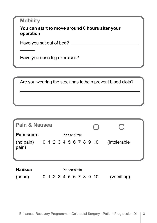| <b>Mobilit</b> |
|----------------|
|----------------|

 $\overline{\phantom{a}}$ 

**You can start to move around 6 hours after your operation**

| Have you sat out of bed? |  |
|--------------------------|--|
|                          |  |

Have you done leg exercises?

\_\_\_\_\_\_\_\_\_\_\_\_\_\_\_\_\_\_\_\_\_\_\_\_\_\_\_\_\_\_\_

Are you wearing the stockings to help prevent blood clots?

\_\_\_\_\_\_\_\_\_\_\_\_\_\_\_\_\_\_\_\_\_\_\_\_\_\_\_\_\_\_\_\_\_\_\_\_\_\_\_\_\_\_\_\_\_\_\_\_\_

| Pain & Nausea                             |  |  |  |  |  |  |  |              |  |  |                        |            |
|-------------------------------------------|--|--|--|--|--|--|--|--------------|--|--|------------------------|------------|
| <b>Pain score</b><br>Please circle        |  |  |  |  |  |  |  |              |  |  |                        |            |
| (no pain) 0 1 2 3 4 5 6 7 8 9 10<br>pain) |  |  |  |  |  |  |  | (intolerable |  |  |                        |            |
| <b>Nausea</b><br>Please circle            |  |  |  |  |  |  |  |              |  |  |                        |            |
| (none)                                    |  |  |  |  |  |  |  |              |  |  | 0 1 2 3 4 5 6 7 8 9 10 | (vomiting) |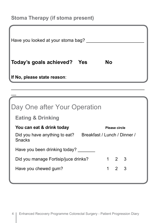### **Stoma Therapy (if stoma present)**

| Have you looked at your stoma bag? |     |    |
|------------------------------------|-----|----|
| Today's goals achieved?            | Yes | No |
| ∣ If No, please state reason∶      |     |    |

\_\_\_\_\_\_\_\_\_\_\_\_\_\_\_\_\_\_\_\_\_\_\_\_\_\_\_\_\_\_\_\_\_\_\_\_\_\_\_\_\_\_\_\_\_\_\_\_\_\_\_\_\_

| Day One after Your Operation                                                                             |                     |  |
|----------------------------------------------------------------------------------------------------------|---------------------|--|
| <b>Eating &amp; Drinking</b>                                                                             |                     |  |
| You can eat & drink today<br>Did you have anything to eat? Breakfast / Lunch / Dinner /<br><b>Snacks</b> | Please circle       |  |
| Have you been drinking today?                                                                            |                     |  |
| Did you manage Fortisip/juce drinks?                                                                     | $1 \quad 2 \quad 3$ |  |
| Have you chewed gum?                                                                                     | 2 <sup>3</sup>      |  |
|                                                                                                          |                     |  |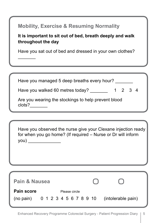| <b>Mobility, Exercise &amp; Resuming Normality</b>                              |
|---------------------------------------------------------------------------------|
| It is important to sit out of bed, breath deeply and walk<br>throughout the day |
| Have you sat out of bed and dressed in your own clothes?                        |
|                                                                                 |
|                                                                                 |
| Have you managed 5 deep breaths every hour?                                     |
| $1\quad 2\quad 3\quad 4$<br>Have you walked 60 metres today?                    |
| Are you wearing the stockings to help prevent blood<br>clots?                   |

| Have you observed the nurse give your Clexane injection ready<br>for when you go home? (If required – Nurse or Dr will inform<br>you) |               |                                  |                    |  |  |  |  |  |  |  |
|---------------------------------------------------------------------------------------------------------------------------------------|---------------|----------------------------------|--------------------|--|--|--|--|--|--|--|
| Pain & Nausea                                                                                                                         |               |                                  |                    |  |  |  |  |  |  |  |
| Pain score                                                                                                                            | Please circle | (no pain) 0 1 2 3 4 5 6 7 8 9 10 | (intolerable pain) |  |  |  |  |  |  |  |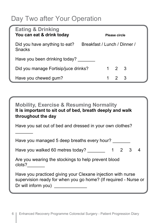## Day Two after Your Operation

| <b>Eating &amp; Drinking</b><br>You can eat & drink today |                              | Please circle       |  |
|-----------------------------------------------------------|------------------------------|---------------------|--|
| Did you have anything to eat?<br><b>Snacks</b>            | Breakfast / Lunch / Dinner / |                     |  |
| Have you been drinking today?                             |                              |                     |  |
| Did you manage Fortisip/juce drinks?                      |                              | $1 \quad 2 \quad 3$ |  |
| Have you chewed gum?                                      |                              | 1 2 3               |  |

| <b>Mobility, Exercise &amp; Resuming Normality</b><br>It is important to sit out of bed, breath deeply and walk<br>throughout the day                 |
|-------------------------------------------------------------------------------------------------------------------------------------------------------|
| Have you sat out of bed and dressed in your own clothes?                                                                                              |
|                                                                                                                                                       |
| Have you managed 5 deep breaths every hour?                                                                                                           |
| 2 3<br>Have you walked 60 metres today?                                                                                                               |
| Are you wearing the stockings to help prevent blood<br>clots?                                                                                         |
| Have you practiced giving your Clexane injection with nurse<br>supervision ready for when you go home? (If required - Nurse or<br>Dr will inform you) |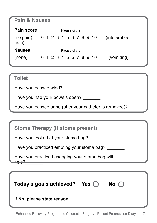| Pain & Nausea      |               |                        |  |  |  |  |  |  |  |  |                      |  |  |
|--------------------|---------------|------------------------|--|--|--|--|--|--|--|--|----------------------|--|--|
| Pain score         | Please circle |                        |  |  |  |  |  |  |  |  |                      |  |  |
| (no pain)<br>pain) |               | 0 1 2 3 4 5 6 7 8 9 10 |  |  |  |  |  |  |  |  | <i>(intolerable)</i> |  |  |
| <b>Nausea</b>      | Please circle |                        |  |  |  |  |  |  |  |  |                      |  |  |
| (none)             |               | 0 1 2 3 4 5 6 7 8 9 10 |  |  |  |  |  |  |  |  | (vomiting)           |  |  |

## **Toilet**  Have you passed wind? Have you had your bowels open? Have you passed urine (after your catheter is removed)?

| <b>Stoma Therapy (if stoma present)</b>                              |  |  |  |  |  |  |  |  |  |
|----------------------------------------------------------------------|--|--|--|--|--|--|--|--|--|
| Have you looked at your stoma bag?                                   |  |  |  |  |  |  |  |  |  |
| Have you practiced empting your stoma bag?                           |  |  |  |  |  |  |  |  |  |
| Have you practiced changing your stoma bag with<br>صمامط             |  |  |  |  |  |  |  |  |  |
|                                                                      |  |  |  |  |  |  |  |  |  |
|                                                                      |  |  |  |  |  |  |  |  |  |
| Today's goals achieved? Yes ()<br>$\overline{\mathsf{No}}$ $\bigcap$ |  |  |  |  |  |  |  |  |  |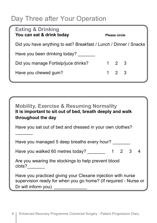### Day Three after Your Operation

| Did you have anything to eat? Breakfast / Lunch / Dinner / Snacks |
|-------------------------------------------------------------------|
|                                                                   |
|                                                                   |
|                                                                   |
|                                                                   |

| <b>Mobility, Exercise &amp; Resuming Normality</b><br>It is important to sit out of bed, breath deeply and walk<br>throughout the day                 |  |  |  |  |  |  |  |  |  |
|-------------------------------------------------------------------------------------------------------------------------------------------------------|--|--|--|--|--|--|--|--|--|
| Have you sat out of bed and dressed in your own clothes?                                                                                              |  |  |  |  |  |  |  |  |  |
|                                                                                                                                                       |  |  |  |  |  |  |  |  |  |
| Have you managed 5 deep breaths every hour?                                                                                                           |  |  |  |  |  |  |  |  |  |
| $1\quad 2\quad 3$<br>Have you walked 60 metres today?                                                                                                 |  |  |  |  |  |  |  |  |  |
| Are you wearing the stockings to help prevent blood<br>clots?                                                                                         |  |  |  |  |  |  |  |  |  |
| Have you practiced giving your Clexane injection with nurse<br>supervision ready for when you go home? (If required - Nurse or<br>Dr will inform you) |  |  |  |  |  |  |  |  |  |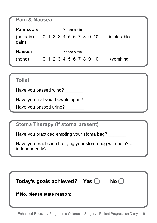| Pain & Nausea      |  |  |  |  |  |               |  |  |  |  |                        |                      |  |  |  |
|--------------------|--|--|--|--|--|---------------|--|--|--|--|------------------------|----------------------|--|--|--|
| <b>Pain score</b>  |  |  |  |  |  | Please circle |  |  |  |  |                        |                      |  |  |  |
| (no pain)<br>pain) |  |  |  |  |  |               |  |  |  |  | 0 1 2 3 4 5 6 7 8 9 10 | <i>(intolerable)</i> |  |  |  |
| <b>Nausea</b>      |  |  |  |  |  | Please circle |  |  |  |  |                        |                      |  |  |  |
| (none)             |  |  |  |  |  |               |  |  |  |  | 0 1 2 3 4 5 6 7 8 9 10 | (vomiting)           |  |  |  |

### **Toilet**

| Have you passed wind? |  |
|-----------------------|--|
|                       |  |

Have you had your bowels open?

Have you passed urine?

**Stoma Therapy (if stoma present)**

Have you practiced empting your stoma bag?

Have you practiced changing your stoma bag with help? or independently? \_\_\_\_\_\_\_\_

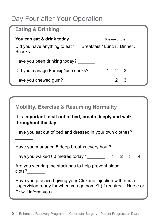### Day Four after Your Operation

| <b>Eating &amp; Drinking</b>                   |                              |  |                     |  |  |  |  |  |
|------------------------------------------------|------------------------------|--|---------------------|--|--|--|--|--|
| You can eat & drink today                      | Please circle                |  |                     |  |  |  |  |  |
| Did you have anything to eat?<br><b>Snacks</b> | Breakfast / Lunch / Dinner / |  |                     |  |  |  |  |  |
| Have you been drinking today?                  |                              |  |                     |  |  |  |  |  |
| Did you manage Fortisip/juce drinks?           |                              |  | $1 \quad 2 \quad 3$ |  |  |  |  |  |
| Have you chewed gum?                           |                              |  | 1 2 3               |  |  |  |  |  |

|  | <b>Mobility, Exercise &amp; Resuming Normality</b> |                                                           |
|--|----------------------------------------------------|-----------------------------------------------------------|
|  |                                                    | It is important to sit out of bed, breath deeply and walk |

### **throughout the day**

 $\overline{\phantom{a}}$ 

Have you sat out of bed and dressed in your own clothes?

Have you managed 5 deep breaths every hour?

Have you walked 60 metres today? 1 2 3 4

Are you wearing the stockings to help prevent blood clots?\_\_\_\_\_\_\_

Have you practiced giving your Clexane injection with nurse supervision ready for when you go home? (If required - Nurse or Dr will inform you)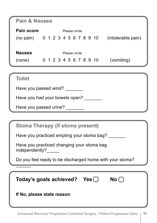| Pain & Nausea     |  |  |               |  |  |               |  |  |  |  |                        |                    |  |  |  |  |
|-------------------|--|--|---------------|--|--|---------------|--|--|--|--|------------------------|--------------------|--|--|--|--|
| <b>Pain score</b> |  |  |               |  |  | Please circle |  |  |  |  |                        |                    |  |  |  |  |
| (no pain)         |  |  |               |  |  |               |  |  |  |  | 0 1 2 3 4 5 6 7 8 9 10 | (intolerable pain) |  |  |  |  |
|                   |  |  |               |  |  |               |  |  |  |  |                        |                    |  |  |  |  |
| <b>Nausea</b>     |  |  | Please circle |  |  |               |  |  |  |  |                        |                    |  |  |  |  |
| (none)            |  |  |               |  |  |               |  |  |  |  | 0 1 2 3 4 5 6 7 8 9 10 | (vomiting)         |  |  |  |  |

| <b>Toilet</b>                  |  |
|--------------------------------|--|
| Have you passed wind?          |  |
| Have you had your bowels open? |  |
| Have you passed urine?         |  |

| Stoma Therapy (if stoma present)                             |  |  |  |  |  |  |  |  |
|--------------------------------------------------------------|--|--|--|--|--|--|--|--|
| Have you practiced empting your stoma bag?                   |  |  |  |  |  |  |  |  |
| Have you practiced changing your stoma bag<br>independently? |  |  |  |  |  |  |  |  |
| Do you feel ready to be discharged home with your stoma?     |  |  |  |  |  |  |  |  |
|                                                              |  |  |  |  |  |  |  |  |
|                                                              |  |  |  |  |  |  |  |  |
| Today's goals achieved? Yes $\bigcirc$<br>No                 |  |  |  |  |  |  |  |  |

 $\overline{\phantom{a}}$  , and the contract of the contract of the contract of the contract of the contract of the contract of the contract of the contract of the contract of the contract of the contract of the contract of the contrac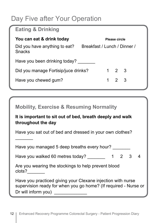## Day Five after Your Operation

| <b>Eating &amp; Drinking</b>                   |               |                              |  |  |  |  |  |  |
|------------------------------------------------|---------------|------------------------------|--|--|--|--|--|--|
| You can eat & drink today                      | Please circle |                              |  |  |  |  |  |  |
| Did you have anything to eat?<br><b>Snacks</b> |               | Breakfast / Lunch / Dinner / |  |  |  |  |  |  |
| Have you been drinking today?                  |               |                              |  |  |  |  |  |  |
| Did you manage Fortisip/juce drinks?           |               | $1 \quad 2 \quad 3$          |  |  |  |  |  |  |
| Have you chewed gum?                           |               | $1 \quad 2 \quad 3$          |  |  |  |  |  |  |

**Mobility, Exercise & Resuming Normality**

#### **It is important to sit out of bed, breath deeply and walk throughout the day**

Have you sat out of bed and dressed in your own clothes?

Have you managed 5 deep breaths every hour?

 $\overline{\phantom{a}}$ 

Have you walked 60 metres today? 1 2 3 4

Are you wearing the stockings to help prevent blood clots?\_\_\_\_\_\_\_

Have you practiced giving your Clexane injection with nurse supervision ready for when you go home? (If required - Nurse or Dr will inform you)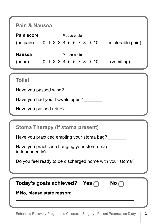| Pain & Nausea |               |  |  |  |  |  |  |               |  |  |                        |                    |
|---------------|---------------|--|--|--|--|--|--|---------------|--|--|------------------------|--------------------|
| Pain score    |               |  |  |  |  |  |  | Please circle |  |  |                        |                    |
| (no pain)     |               |  |  |  |  |  |  |               |  |  | 0 1 2 3 4 5 6 7 8 9 10 | (intolerable pain) |
| <b>Nausea</b> | Please circle |  |  |  |  |  |  |               |  |  |                        |                    |
| (none)        |               |  |  |  |  |  |  |               |  |  | 0 1 2 3 4 5 6 7 8 9 10 | (vomiting)         |

### **Toilet**

 $\overline{\phantom{a}}$ 

Have you passed wind?

Have you had your bowels open?

Have you passed urine?

|  |  | <b>Stoma Therapy (if stoma present)</b> |  |
|--|--|-----------------------------------------|--|
|--|--|-----------------------------------------|--|

Have you practiced empting your stoma bag?

| Have you practiced changing your stoma bag |  |  |
|--------------------------------------------|--|--|
| independently?                             |  |  |

Do you feel ready to be discharged home with your stoma?

\_\_\_\_\_\_\_\_\_\_\_\_\_\_\_\_\_\_\_\_\_\_\_\_\_\_\_\_\_\_\_\_\_\_\_\_\_\_\_\_\_\_\_\_\_\_\_

Today's goals achieved? Yes  $\bigcap$  No

**If No, please state reason**: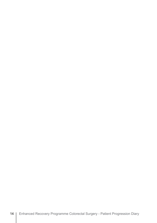14 | Enhanced Recovery Programme Colorectal Surgery - Patient Progression Diary